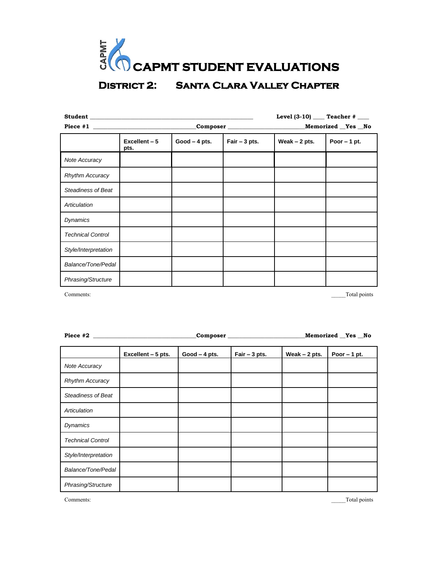

| Student Management and Student |                         |                 |                | Level $(3-10)$ _____ Teacher # ____ |               |
|--------------------------------|-------------------------|-----------------|----------------|-------------------------------------|---------------|
|                                | $\textbf{Composer}$     |                 |                | _Memorized __Yes __No               |               |
|                                | $Excellent - 5$<br>pts. | $Good - 4 pts.$ | Fair $-3$ pts. | Weak $-2$ pts.                      | Poor $-1$ pt. |
| Note Accuracy                  |                         |                 |                |                                     |               |
| <b>Rhythm Accuracy</b>         |                         |                 |                |                                     |               |
| <b>Steadiness of Beat</b>      |                         |                 |                |                                     |               |
| Articulation                   |                         |                 |                |                                     |               |
| Dynamics                       |                         |                 |                |                                     |               |
| <b>Technical Control</b>       |                         |                 |                |                                     |               |
| Style/Interpretation           |                         |                 |                |                                     |               |
| Balance/Tone/Pedal             |                         |                 |                |                                     |               |
| Phrasing/Structure             |                         |                 |                |                                     |               |

Comments: \_\_\_\_\_Total points

|                           | Composer           |                 |                | Memorized Yes No |               |
|---------------------------|--------------------|-----------------|----------------|------------------|---------------|
|                           | Excellent - 5 pts. | $Good - 4 pts.$ | Fair $-3$ pts. | Weak $-2$ pts.   | Poor $-1$ pt. |
| Note Accuracy             |                    |                 |                |                  |               |
| <b>Rhythm Accuracy</b>    |                    |                 |                |                  |               |
| <b>Steadiness of Beat</b> |                    |                 |                |                  |               |
| Articulation              |                    |                 |                |                  |               |
| <b>Dynamics</b>           |                    |                 |                |                  |               |
| <b>Technical Control</b>  |                    |                 |                |                  |               |
| Style/Interpretation      |                    |                 |                |                  |               |
| Balance/Tone/Pedal        |                    |                 |                |                  |               |
| Phrasing/Structure        |                    |                 |                |                  |               |

Comments: Total points Total points Total points Total points Total points Total points Total points Total points Total points Total points Total points Total points Total points Total points Total points Total points Tota